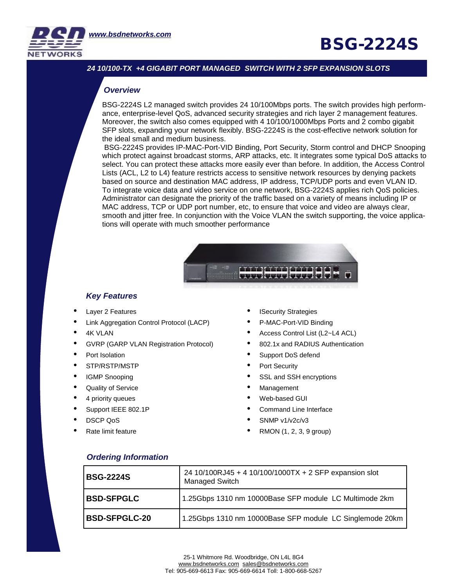

## **BSG-2224S**

#### *24 10/100-TX +4 GIGABIT PORT MANAGED SWITCH WITH 2 SFP EXPANSION SLOTS*

#### *Overview*

BSG-2224S L2 managed switch provides 24 10/100Mbps ports. The switch provides high performance, enterprise-level QoS, advanced security strategies and rich layer 2 management features. Moreover, the switch also comes equipped with 4 10/100/1000Mbps Ports and 2 combo gigabit SFP slots, expanding your network flexibly. BSG-2224S is the cost-effective network solution for the ideal small and medium business.

**Specifications** in the set of the set of the set of the set of the set of the set of the set of the set of the set of the set of the set of the set of the set of the set of the set of the set of the set of the set of the BSG-2224S provides IP-MAC-Port-VID Binding, Port Security, Storm control and DHCP Snooping which protect against broadcast storms, ARP attacks, etc. It integrates some typical DoS attacks to select. You can protect these attacks more easily ever than before. In addition, the Access Control Lists (ACL, L2 to L4) feature restricts access to sensitive network resources by denying packets based on source and destination MAC address, IP address, TCP/UDP ports and even VLAN ID. To integrate voice data and video service on one network, BSG-2224S applies rich QoS policies. Administrator can designate the priority of the traffic based on a variety of means including IP or MAC address, TCP or UDP port number, etc, to ensure that voice and video are always clear, smooth and jitter free. In conjunction with the Voice VLAN the switch supporting, the voice applications will operate with much smoother performance



#### *Key Features*

- Layer 2 Features
- Link Aggregation Control Protocol (LACP)
- **4K VLAN**
- GVRP (GARP VLAN Registration Protocol)
- Port Isolation
- STP/RSTP/MSTP
- IGMP Snooping
- Quality of Service
- 4 priority queues
- Support IEEE 802.1P
- DSCP QoS
- Rate limit feature
- **ISecurity Strategies**
- P-MAC-Port-VID Binding
- Access Control List (L2~L4 ACL)
- 802.1x and RADIUS Authentication
- Support DoS defend
- Port Security
- SSL and SSH encryptions
- **Management**
- Web-based GUI
- Command Line Interface
- SNMP v1/v2c/v3
- RMON (1, 2, 3, 9 group)

### *Ordering Information*

|  | <b>BSG-2224S</b>     | 24 10/100RJ45 + 4 10/100/1000TX + 2 SFP expansion slot<br><b>Managed Switch</b> |
|--|----------------------|---------------------------------------------------------------------------------|
|  | <b>BSD-SFPGLC</b>    | 1.25Gbps 1310 nm 10000Base SFP module LC Multimode 2km                          |
|  | <b>BSD-SFPGLC-20</b> | 1.25Gbps 1310 nm 10000Base SFP module LC Singlemode 20km                        |